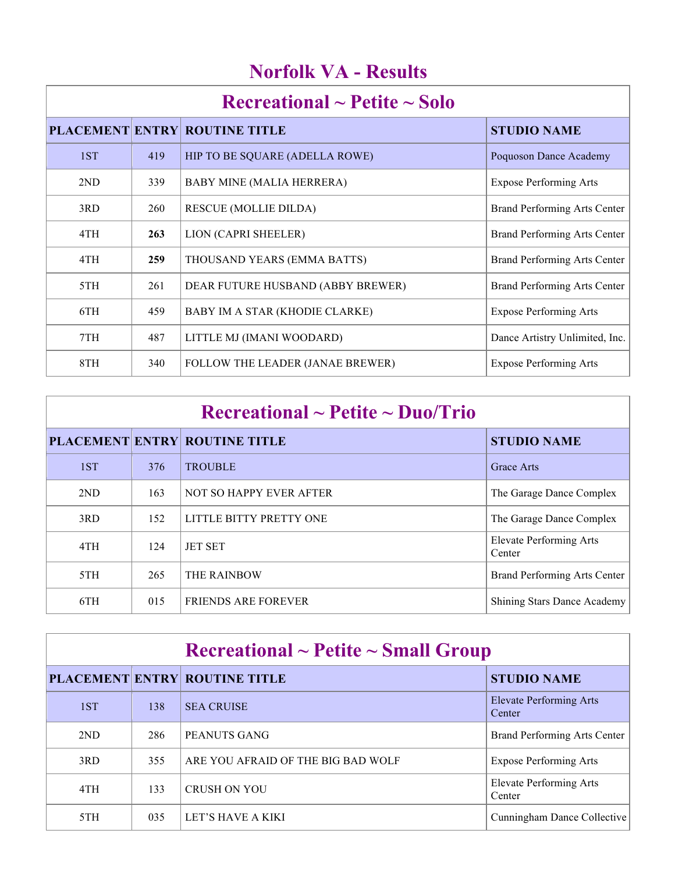| <b>Norfolk VA - Results</b> |
|-----------------------------|
|                             |

|     |     | <b>PLACEMENT ENTRY ROUTINE TITLE</b> | <b>STUDIO NAME</b>                  |
|-----|-----|--------------------------------------|-------------------------------------|
| 1ST | 419 | HIP TO BE SQUARE (ADELLA ROWE)       | <b>Poquoson Dance Academy</b>       |
| 2ND | 339 | <b>BABY MINE (MALIA HERRERA)</b>     | <b>Expose Performing Arts</b>       |
| 3RD | 260 | <b>RESCUE (MOLLIE DILDA)</b>         | Brand Performing Arts Center        |
| 4TH | 263 | LION (CAPRI SHEELER)                 | <b>Brand Performing Arts Center</b> |
| 4TH | 259 | THOUSAND YEARS (EMMA BATTS)          | Brand Performing Arts Center        |
| 5TH | 261 | DEAR FUTURE HUSBAND (ABBY BREWER)    | Brand Performing Arts Center        |
| 6TH | 459 | BABY IM A STAR (KHODIE CLARKE)       | <b>Expose Performing Arts</b>       |
| 7TH | 487 | LITTLE MJ (IMANI WOODARD)            | Dance Artistry Unlimited, Inc.      |
| 8TH | 340 | FOLLOW THE LEADER (JANAE BREWER)     | <b>Expose Performing Arts</b>       |

| $\rm Recreational \sim Petite \sim Duo/Trio$ |     |                                      |                                          |
|----------------------------------------------|-----|--------------------------------------|------------------------------------------|
|                                              |     | <b>PLACEMENT ENTRY ROUTINE TITLE</b> | <b>STUDIO NAME</b>                       |
| 1ST                                          | 376 | <b>TROUBLE</b>                       | <b>Grace Arts</b>                        |
| 2ND                                          | 163 | NOT SO HAPPY EVER AFTER              | The Garage Dance Complex                 |
| 3RD                                          | 152 | LITTLE BITTY PRETTY ONE              | The Garage Dance Complex                 |
| 4TH                                          | 124 | <b>JET SET</b>                       | <b>Elevate Performing Arts</b><br>Center |
| 5TH                                          | 265 | <b>THE RAINBOW</b>                   | Brand Performing Arts Center             |
| 6TH                                          | 015 | <b>FRIENDS ARE FOREVER</b>           | <b>Shining Stars Dance Academy</b>       |

| $\rm Recreational \sim Petite \sim Small\,\, Group$ |     |                                      |                                          |
|-----------------------------------------------------|-----|--------------------------------------|------------------------------------------|
|                                                     |     | <b>PLACEMENT ENTRY ROUTINE TITLE</b> | <b>STUDIO NAME</b>                       |
| 1ST                                                 | 138 | <b>SEA CRUISE</b>                    | Elevate Performing Arts<br>Center        |
| 2ND                                                 | 286 | PEANUTS GANG                         | Brand Performing Arts Center             |
| 3RD                                                 | 355 | ARE YOU AFRAID OF THE BIG BAD WOLF   | <b>Expose Performing Arts</b>            |
| 4TH                                                 | 133 | <b>CRUSH ON YOU</b>                  | <b>Elevate Performing Arts</b><br>Center |
| 5TH                                                 | 035 | LET'S HAVE A KIKI                    | Cunningham Dance Collective              |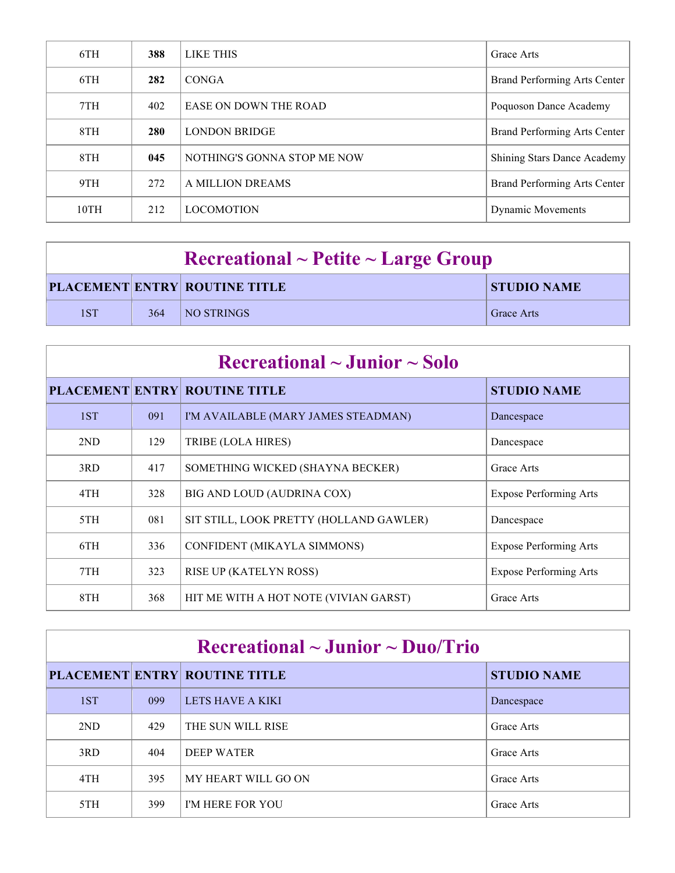| 6TH  | 388 | LIKE THIS                   | Grace Arts                   |
|------|-----|-----------------------------|------------------------------|
| 6TH  | 282 | <b>CONGA</b>                | Brand Performing Arts Center |
| 7TH  | 402 | EASE ON DOWN THE ROAD       | Poquoson Dance Academy       |
| 8TH  | 280 | <b>LONDON BRIDGE</b>        | Brand Performing Arts Center |
| 8TH  | 045 | NOTHING'S GONNA STOP ME NOW | Shining Stars Dance Academy  |
| 9TH  | 272 | A MILLION DREAMS            | Brand Performing Arts Center |
| 10TH | 212 | <b>LOCOMOTION</b>           | <b>Dynamic Movements</b>     |

| $\rm Recreational \sim Peitite \sim Large \,\, Group$ |     |                                      |                    |
|-------------------------------------------------------|-----|--------------------------------------|--------------------|
|                                                       |     | <b>PLACEMENT ENTRY ROUTINE TITLE</b> | <b>STUDIO NAME</b> |
| 1ST                                                   | 364 | <b>NO STRINGS</b>                    | <b>Grace Arts</b>  |

| $\rm Recreational \sim Junior \sim Solo$ |     |                                         |                               |
|------------------------------------------|-----|-----------------------------------------|-------------------------------|
|                                          |     | <b>PLACEMENT ENTRY ROUTINE TITLE</b>    | <b>STUDIO NAME</b>            |
| 1ST                                      | 091 | I'M AVAILABLE (MARY JAMES STEADMAN)     | Dancespace                    |
| 2ND                                      | 129 | TRIBE (LOLA HIRES)                      | Dancespace                    |
| 3RD                                      | 417 | SOMETHING WICKED (SHAYNA BECKER)        | Grace Arts                    |
| 4TH                                      | 328 | BIG AND LOUD (AUDRINA COX)              | <b>Expose Performing Arts</b> |
| 5TH                                      | 081 | SIT STILL, LOOK PRETTY (HOLLAND GAWLER) | Dancespace                    |
| 6TH                                      | 336 | CONFIDENT (MIKAYLA SIMMONS)             | <b>Expose Performing Arts</b> |
| 7TH                                      | 323 | <b>RISE UP (KATELYN ROSS)</b>           | <b>Expose Performing Arts</b> |
| 8TH                                      | 368 | HIT ME WITH A HOT NOTE (VIVIAN GARST)   | Grace Arts                    |

| $\rm Recreational \sim J$ unior ~ Duo/Trio |     |                                      |                    |
|--------------------------------------------|-----|--------------------------------------|--------------------|
|                                            |     | <b>PLACEMENT ENTRY ROUTINE TITLE</b> | <b>STUDIO NAME</b> |
| 1ST                                        | 099 | LETS HAVE A KIKI                     | Dancespace         |
| 2ND                                        | 429 | THE SUN WILL RISE                    | Grace Arts         |
| 3RD                                        | 404 | DEEP WATER                           | Grace Arts         |
| 4TH                                        | 395 | MY HEART WILL GO ON                  | Grace Arts         |
| 5TH                                        | 399 | <b>I'M HERE FOR YOU</b>              | Grace Arts         |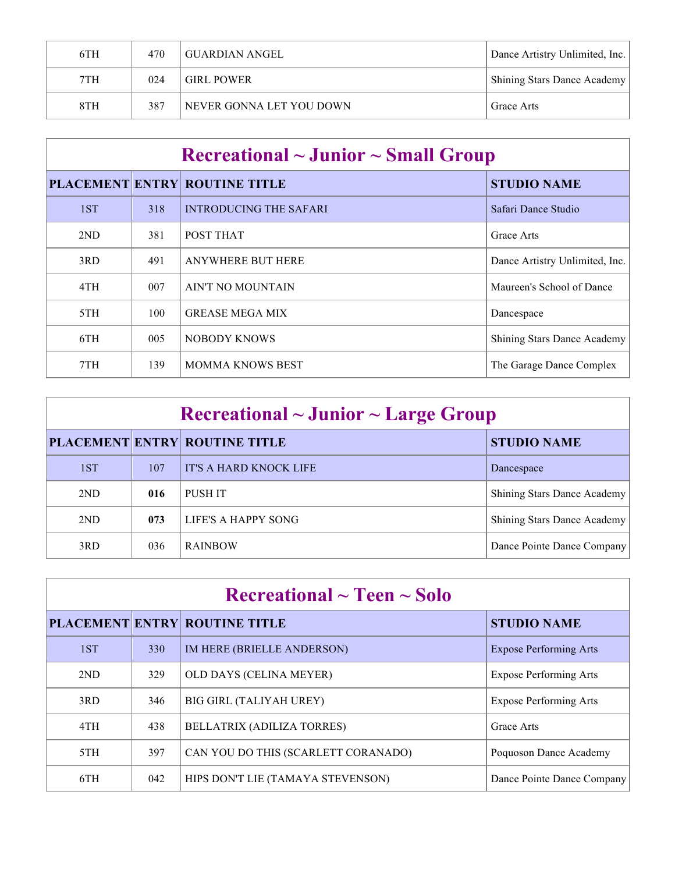| 6TH | 470 | GUARDIAN ANGEL           | Dance Artistry Unlimited, Inc. |
|-----|-----|--------------------------|--------------------------------|
| 7TH | 024 | <b>GIRL POWER</b>        | Shining Stars Dance Academy    |
| 8TH | 387 | NEVER GONNA LET YOU DOWN | Grace Arts                     |

| $\rm Recreational \sim Junior \sim Small\,\, Group$ |     |                                      |                                    |
|-----------------------------------------------------|-----|--------------------------------------|------------------------------------|
|                                                     |     | <b>PLACEMENT ENTRY ROUTINE TITLE</b> | <b>STUDIO NAME</b>                 |
| 1ST                                                 | 318 | <b>INTRODUCING THE SAFARI</b>        | Safari Dance Studio                |
| 2ND                                                 | 381 | POST THAT                            | Grace Arts                         |
| 3RD                                                 | 491 | <b>ANYWHERE BUT HERE</b>             | Dance Artistry Unlimited, Inc.     |
| 4TH                                                 | 007 | AIN'T NO MOUNTAIN                    | Maureen's School of Dance          |
| 5TH                                                 | 100 | <b>GREASE MEGA MIX</b>               | Dancespace                         |
| 6TH                                                 | 005 | NOBODY KNOWS                         | <b>Shining Stars Dance Academy</b> |
| 7TH                                                 | 139 | <b>MOMMA KNOWS BEST</b>              | The Garage Dance Complex           |

| $\rm Recreational \sim Junior \sim Large\ Group$ |     |                                      |                             |
|--------------------------------------------------|-----|--------------------------------------|-----------------------------|
|                                                  |     | <b>PLACEMENT ENTRY ROUTINE TITLE</b> | <b>STUDIO NAME</b>          |
| 1ST                                              | 107 | IT'S A HARD KNOCK LIFE               | Dancespace                  |
| 2ND                                              | 016 | PUSH IT                              | Shining Stars Dance Academy |
| 2ND                                              | 073 | LIFE'S A HAPPY SONG                  | Shining Stars Dance Academy |
| 3RD                                              | 036 | <b>RAINBOW</b>                       | Dance Pointe Dance Company  |

| Recreational $\sim$ Teen $\sim$ Solo |     |                                      |                               |
|--------------------------------------|-----|--------------------------------------|-------------------------------|
|                                      |     | <b>PLACEMENT ENTRY ROUTINE TITLE</b> | <b>STUDIO NAME</b>            |
| 1ST                                  | 330 | IM HERE (BRIELLE ANDERSON)           | <b>Expose Performing Arts</b> |
| 2ND                                  | 329 | OLD DAYS (CELINA MEYER)              | <b>Expose Performing Arts</b> |
| 3RD                                  | 346 | <b>BIG GIRL (TALIYAH UREY)</b>       | <b>Expose Performing Arts</b> |
| 4TH                                  | 438 | <b>BELLATRIX (ADILIZA TORRES)</b>    | Grace Arts                    |
| 5TH                                  | 397 | CAN YOU DO THIS (SCARLETT CORANADO)  | Poquoson Dance Academy        |
| 6TH                                  | 042 | HIPS DON'T LIE (TAMAYA STEVENSON)    | Dance Pointe Dance Company    |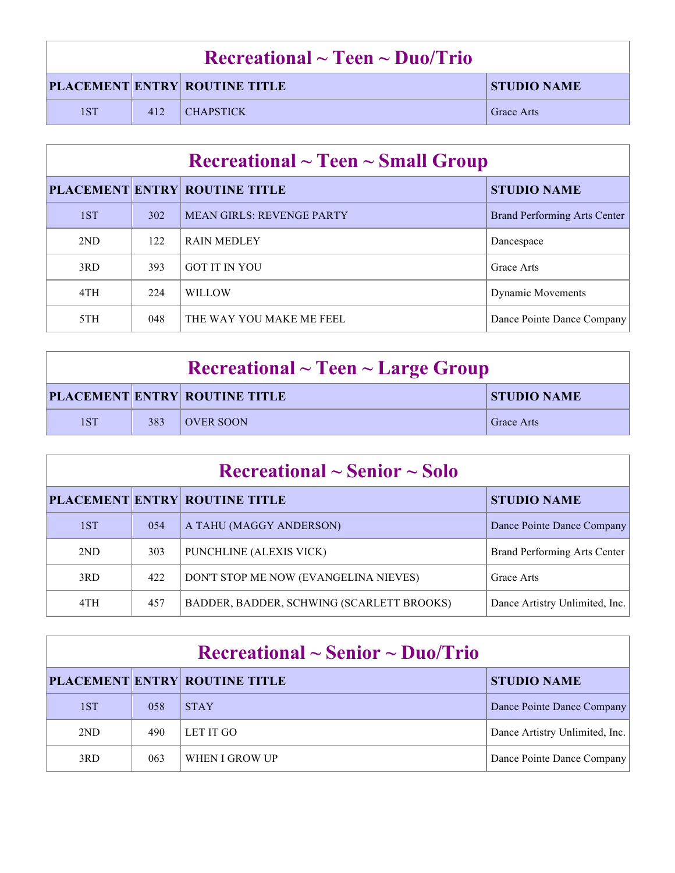|     | $\rm Recreational \sim Teen \sim Duo/Trio$ |                                      |                    |  |
|-----|--------------------------------------------|--------------------------------------|--------------------|--|
|     |                                            | <b>PLACEMENT ENTRY ROUTINE TITLE</b> | <b>STUDIO NAME</b> |  |
| 1ST | 412                                        | $\overline{\phantom{a}}$ CHAPSTICK   | <b>Grace Arts</b>  |  |

|     | $\rm Recreational \sim Teen \sim Small\,\, Group$ |                                      |                                     |  |  |
|-----|---------------------------------------------------|--------------------------------------|-------------------------------------|--|--|
|     |                                                   | <b>PLACEMENT ENTRY ROUTINE TITLE</b> | <b>STUDIO NAME</b>                  |  |  |
| 1ST | 302                                               | <b>MEAN GIRLS: REVENGE PARTY</b>     | <b>Brand Performing Arts Center</b> |  |  |
| 2ND | 122                                               | <b>RAIN MEDLEY</b>                   | Dancespace                          |  |  |
| 3RD | 393                                               | <b>GOT IT IN YOU</b>                 | Grace Arts                          |  |  |
| 4TH | 224                                               | <b>WILLOW</b>                        | <b>Dynamic Movements</b>            |  |  |
| 5TH | 048                                               | THE WAY YOU MAKE ME FEEL             | Dance Pointe Dance Company          |  |  |

| $\textbf{Recreational} \sim \textbf{Teen} \sim \textbf{Large Group}$ |     |                                      |                    |
|----------------------------------------------------------------------|-----|--------------------------------------|--------------------|
|                                                                      |     | <b>PLACEMENT ENTRY ROUTINE TITLE</b> | <b>STUDIO NAME</b> |
| 1ST                                                                  | 383 | <b>OVER SOON</b>                     | <b>Grace Arts</b>  |

| $\rm Recreational \sim Senior \sim Solo$ |     |                                           |                                |  |
|------------------------------------------|-----|-------------------------------------------|--------------------------------|--|
|                                          |     | <b>PLACEMENT ENTRY ROUTINE TITLE</b>      | <b>STUDIO NAME</b>             |  |
| 1ST                                      | 054 | A TAHU (MAGGY ANDERSON)                   | Dance Pointe Dance Company     |  |
| 2ND                                      | 303 | PUNCHLINE (ALEXIS VICK)                   | Brand Performing Arts Center   |  |
| 3RD                                      | 422 | DON'T STOP ME NOW (EVANGELINA NIEVES)     | Grace Arts                     |  |
| 4TH                                      | 457 | BADDER, BADDER, SCHWING (SCARLETT BROOKS) | Dance Artistry Unlimited, Inc. |  |

| $\rm Recreational \sim Senior \sim Duo/Trio$ |     |                                      |                                |  |
|----------------------------------------------|-----|--------------------------------------|--------------------------------|--|
|                                              |     | <b>PLACEMENT ENTRY ROUTINE TITLE</b> | <b>STUDIO NAME</b>             |  |
| 1ST                                          | 058 | <b>STAY</b>                          | Dance Pointe Dance Company     |  |
| 2ND                                          | 490 | LET IT GO                            | Dance Artistry Unlimited, Inc. |  |
| 3RD                                          | 063 | WHEN I GROW UP                       | Dance Pointe Dance Company     |  |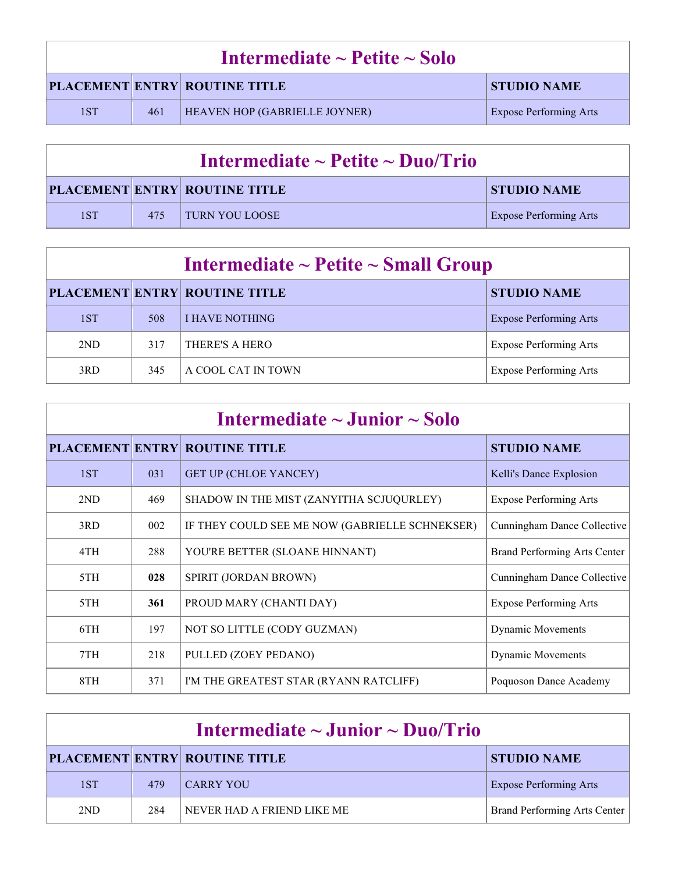| Intermediate $\sim$ Petite $\sim$ Solo |     |                                      |                               |  |
|----------------------------------------|-----|--------------------------------------|-------------------------------|--|
|                                        |     | <b>PLACEMENT ENTRY ROUTINE TITLE</b> | <b>STUDIO NAME</b>            |  |
| 1ST                                    | 461 | <b>HEAVEN HOP (GABRIELLE JOYNER)</b> | <b>Expose Performing Arts</b> |  |

| Intermediate $\sim$ Petite $\sim$ Duo/Trio |     |                                      |                               |
|--------------------------------------------|-----|--------------------------------------|-------------------------------|
|                                            |     | <b>PLACEMENT ENTRY ROUTINE TITLE</b> | <b>STUDIO NAME</b>            |
| 1ST                                        | 475 | <b>TURN YOU LOOSE</b>                | <b>Expose Performing Arts</b> |

| Intermediate $\sim$ Petite $\sim$ Small Group |     |                                      |                               |  |
|-----------------------------------------------|-----|--------------------------------------|-------------------------------|--|
|                                               |     | <b>PLACEMENT ENTRY ROUTINE TITLE</b> | <b>STUDIO NAME</b>            |  |
| 1ST                                           | 508 | <b>I HAVE NOTHING</b>                | <b>Expose Performing Arts</b> |  |
| 2ND                                           | 317 | THERE'S A HERO                       | <b>Expose Performing Arts</b> |  |
| 3RD                                           | 345 | A COOL CAT IN TOWN                   | <b>Expose Performing Arts</b> |  |

| Intermediate $\sim$ Junior $\sim$ Solo |     |                                                |                               |
|----------------------------------------|-----|------------------------------------------------|-------------------------------|
|                                        |     | <b>PLACEMENT ENTRY ROUTINE TITLE</b>           | <b>STUDIO NAME</b>            |
| 1ST                                    | 031 | <b>GET UP (CHLOE YANCEY)</b>                   | Kelli's Dance Explosion       |
| 2ND                                    | 469 | SHADOW IN THE MIST (ZANYITHA SCJUQURLEY)       | <b>Expose Performing Arts</b> |
| 3RD                                    | 002 | IF THEY COULD SEE ME NOW (GABRIELLE SCHNEKSER) | Cunningham Dance Collective   |
| 4TH                                    | 288 | YOU'RE BETTER (SLOANE HINNANT)                 | Brand Performing Arts Center  |
| 5TH                                    | 028 | SPIRIT (JORDAN BROWN)                          | Cunningham Dance Collective   |
| 5TH                                    | 361 | PROUD MARY (CHANTI DAY)                        | <b>Expose Performing Arts</b> |
| 6TH                                    | 197 | NOT SO LITTLE (CODY GUZMAN)                    | <b>Dynamic Movements</b>      |
| 7TH                                    | 218 | PULLED (ZOEY PEDANO)                           | <b>Dynamic Movements</b>      |
| 8TH                                    | 371 | I'M THE GREATEST STAR (RYANN RATCLIFF)         | Poquoson Dance Academy        |

|     | Intermediate $\sim$ Junior $\sim$ Duo/Trio |                                      |                               |  |
|-----|--------------------------------------------|--------------------------------------|-------------------------------|--|
|     |                                            | <b>PLACEMENT ENTRY ROUTINE TITLE</b> | <b>STUDIO NAME</b>            |  |
| 1ST | 479                                        | <b>CARRY YOU</b>                     | <b>Expose Performing Arts</b> |  |
| 2ND | 284                                        | NEVER HAD A FRIEND LIKE ME           | Brand Performing Arts Center  |  |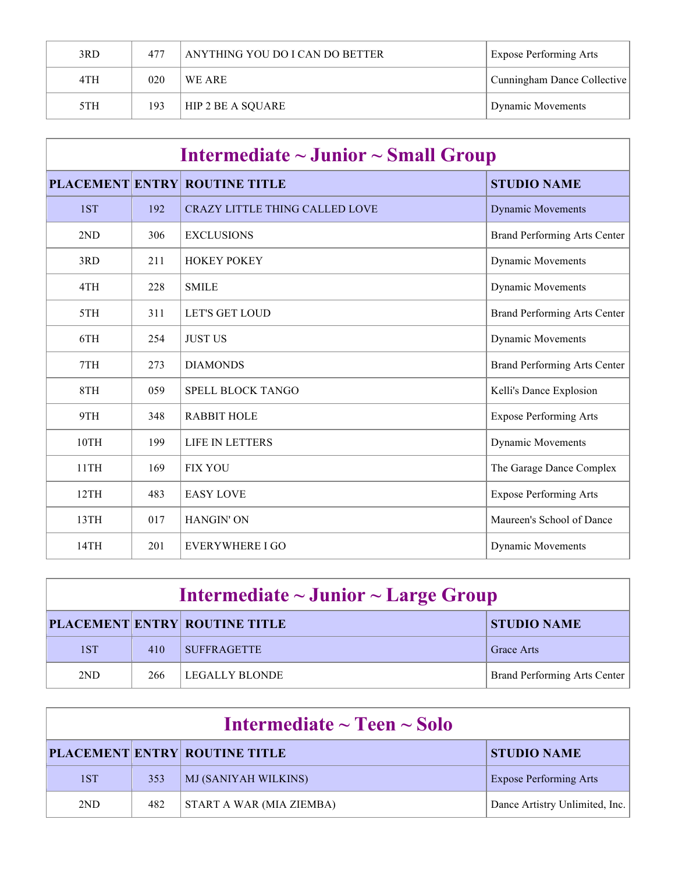| 3RD | 477 | ANYTHING YOU DO I CAN DO BETTER | <b>Expose Performing Arts</b> |
|-----|-----|---------------------------------|-------------------------------|
| 4TH | 020 | WE ARE                          | Cunningham Dance Collective   |
| 5TH | 193 | HIP 2 BE A SQUARE               | Dynamic Movements             |

| Intermediate $\sim$ Junior $\sim$ Small Group |     |                                       |                                     |
|-----------------------------------------------|-----|---------------------------------------|-------------------------------------|
|                                               |     | <b>PLACEMENT ENTRY ROUTINE TITLE</b>  | <b>STUDIO NAME</b>                  |
| 1ST                                           | 192 | <b>CRAZY LITTLE THING CALLED LOVE</b> | <b>Dynamic Movements</b>            |
| 2ND                                           | 306 | <b>EXCLUSIONS</b>                     | Brand Performing Arts Center        |
| 3RD                                           | 211 | <b>HOKEY POKEY</b>                    | Dynamic Movements                   |
| 4TH                                           | 228 | <b>SMILE</b>                          | <b>Dynamic Movements</b>            |
| 5TH                                           | 311 | <b>LET'S GET LOUD</b>                 | Brand Performing Arts Center        |
| 6TH                                           | 254 | <b>JUST US</b>                        | Dynamic Movements                   |
| 7TH                                           | 273 | <b>DIAMONDS</b>                       | <b>Brand Performing Arts Center</b> |
| 8TH                                           | 059 | SPELL BLOCK TANGO                     | Kelli's Dance Explosion             |
| 9TH                                           | 348 | <b>RABBIT HOLE</b>                    | <b>Expose Performing Arts</b>       |
| 10TH                                          | 199 | LIFE IN LETTERS                       | <b>Dynamic Movements</b>            |
| 11TH                                          | 169 | <b>FIX YOU</b>                        | The Garage Dance Complex            |
| 12TH                                          | 483 | <b>EASY LOVE</b>                      | <b>Expose Performing Arts</b>       |
| 13TH                                          | 017 | <b>HANGIN' ON</b>                     | Maureen's School of Dance           |
| 14TH                                          | 201 | <b>EVERYWHERE I GO</b>                | <b>Dynamic Movements</b>            |

| Intermediate $\sim$ Junior $\sim$ Large Group |     |                                      |                              |
|-----------------------------------------------|-----|--------------------------------------|------------------------------|
|                                               |     | <b>PLACEMENT ENTRY ROUTINE TITLE</b> | <b>STUDIO NAME</b>           |
| 1ST                                           | 410 | <b>SUFFRAGETTE</b>                   | <b>Grace Arts</b>            |
| 2 <sub>ND</sub>                               | 266 | LEGALLY BLONDE                       | Brand Performing Arts Center |

| Intermediate $\sim$ Teen $\sim$ Solo |     |                                      |                                |  |
|--------------------------------------|-----|--------------------------------------|--------------------------------|--|
|                                      |     | <b>PLACEMENT ENTRY ROUTINE TITLE</b> | <b>STUDIO NAME</b>             |  |
| 1ST                                  | 353 | MJ (SANIYAH WILKINS)                 | <b>Expose Performing Arts</b>  |  |
| 2ND                                  | 482 | START A WAR (MIA ZIEMBA)             | Dance Artistry Unlimited, Inc. |  |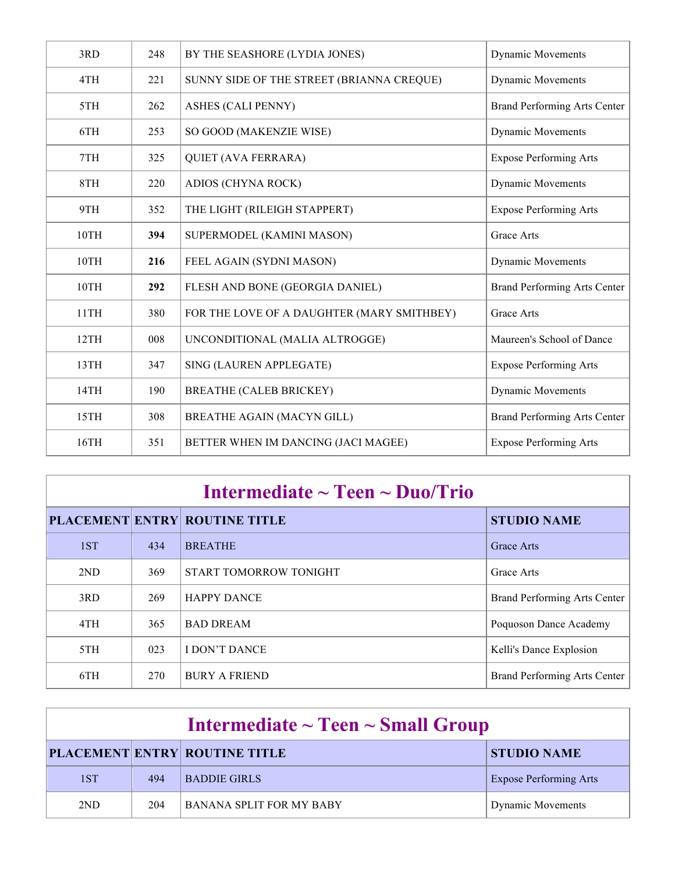| 3RD  | 248 | BY THE SEASHORE (LYDIA JONES)              | <b>Dynamic Movements</b>      |
|------|-----|--------------------------------------------|-------------------------------|
| 4TH  | 221 | SUNNY SIDE OF THE STREET (BRIANNA CREQUE)  | <b>Dynamic Movements</b>      |
| 5TH  | 262 | ASHES (CALI PENNY)                         | Brand Performing Arts Center  |
| 6TH  | 253 | SO GOOD (MAKENZIE WISE)                    | <b>Dynamic Movements</b>      |
| 7TH  | 325 | <b>QUIET (AVA FERRARA)</b>                 | <b>Expose Performing Arts</b> |
| 8TH  | 220 | ADIOS (CHYNA ROCK)                         | <b>Dynamic Movements</b>      |
| 9TH  | 352 | THE LIGHT (RILEIGH STAPPERT)               | <b>Expose Performing Arts</b> |
| 10TH | 394 | SUPERMODEL (KAMINI MASON)                  | <b>Grace Arts</b>             |
| 10TH | 216 | FEEL AGAIN (SYDNI MASON)                   | Dynamic Movements             |
| 10TH | 292 | FLESH AND BONE (GEORGIA DANIEL)            | Brand Performing Arts Center  |
| 11TH | 380 | FOR THE LOVE OF A DAUGHTER (MARY SMITHBEY) | Grace Arts                    |
| 12TH | 008 | UNCONDITIONAL (MALIA ALTROGGE)             | Maureen's School of Dance     |
| 13TH | 347 | SING (LAUREN APPLEGATE)                    | <b>Expose Performing Arts</b> |
| 14TH | 190 | <b>BREATHE (CALEB BRICKEY)</b>             | Dynamic Movements             |
| 15TH | 308 | BREATHE AGAIN (MACYN GILL)                 | Brand Performing Arts Center  |
| 16TH | 351 | BETTER WHEN IM DANCING (JACI MAGEE)        | <b>Expose Performing Arts</b> |

| Intermediate $\sim$ Teen $\sim$ Duo/Trio |     |                                      |                              |  |
|------------------------------------------|-----|--------------------------------------|------------------------------|--|
|                                          |     | <b>PLACEMENT ENTRY ROUTINE TITLE</b> | <b>STUDIO NAME</b>           |  |
| 1ST                                      | 434 | <b>BREATHE</b>                       | Grace Arts                   |  |
| 2ND                                      | 369 | START TOMORROW TONIGHT               | Grace Arts                   |  |
| 3RD                                      | 269 | <b>HAPPY DANCE</b>                   | Brand Performing Arts Center |  |
| 4TH                                      | 365 | <b>BAD DREAM</b>                     | Poquoson Dance Academy       |  |
| 5TH                                      | 023 | <b>I DON'T DANCE</b>                 | Kelli's Dance Explosion      |  |
| 6TH                                      | 270 | <b>BURY A FRIEND</b>                 | Brand Performing Arts Center |  |

| Intermediate $\sim$ Teen $\sim$ Small Group |     |                                      |                               |
|---------------------------------------------|-----|--------------------------------------|-------------------------------|
|                                             |     | <b>PLACEMENT ENTRY ROUTINE TITLE</b> | <b>STUDIO NAME</b>            |
| 1ST                                         | 494 | <b>BADDIE GIRLS</b>                  | <b>Expose Performing Arts</b> |
| 2ND                                         | 204 | <b>BANANA SPLIT FOR MY BABY</b>      | <b>Dynamic Movements</b>      |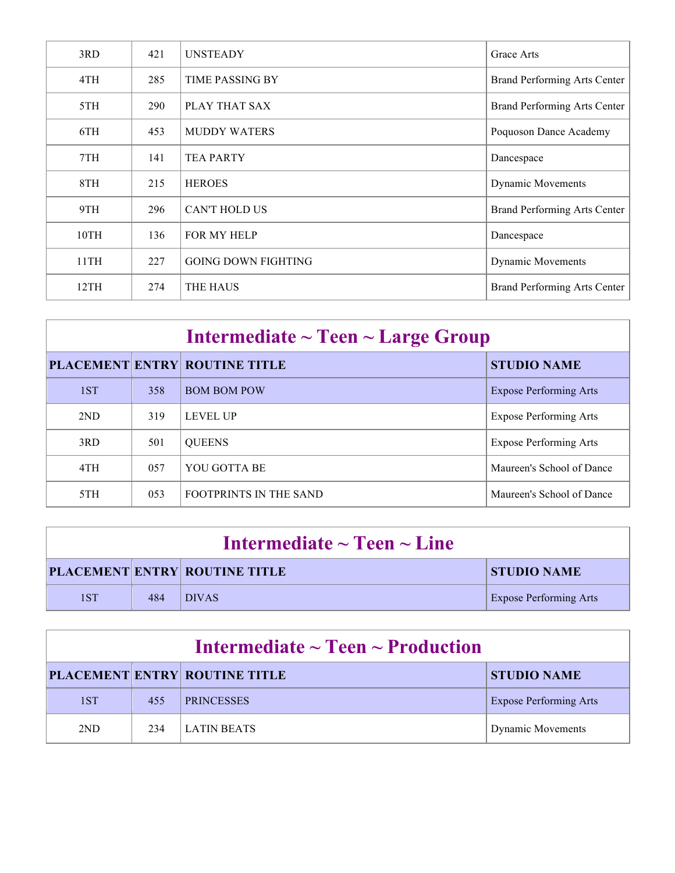| 3RD  | 421 | <b>UNSTEADY</b>            | Grace Arts                   |
|------|-----|----------------------------|------------------------------|
| 4TH  | 285 | <b>TIME PASSING BY</b>     | Brand Performing Arts Center |
| 5TH  | 290 | PLAY THAT SAX              | Brand Performing Arts Center |
| 6TH  | 453 | <b>MUDDY WATERS</b>        | Poquoson Dance Academy       |
| 7TH  | 141 | <b>TEA PARTY</b>           | Dancespace                   |
| 8TH  | 215 | <b>HEROES</b>              | <b>Dynamic Movements</b>     |
| 9TH  | 296 | <b>CAN'T HOLD US</b>       | Brand Performing Arts Center |
| 10TH | 136 | FOR MY HELP                | Dancespace                   |
| 11TH | 227 | <b>GOING DOWN FIGHTING</b> | <b>Dynamic Movements</b>     |
| 12TH | 274 | <b>THE HAUS</b>            | Brand Performing Arts Center |

| Intermediate $\sim$ Teen $\sim$ Large Group |     |                                      |                               |
|---------------------------------------------|-----|--------------------------------------|-------------------------------|
|                                             |     | <b>PLACEMENT ENTRY ROUTINE TITLE</b> | <b>STUDIO NAME</b>            |
| 1ST                                         | 358 | <b>BOM BOM POW</b>                   | <b>Expose Performing Arts</b> |
| 2ND                                         | 319 | <b>LEVEL UP</b>                      | <b>Expose Performing Arts</b> |
| 3RD                                         | 501 | <b>QUEENS</b>                        | <b>Expose Performing Arts</b> |
| 4TH                                         | 057 | YOU GOTTA BE                         | Maureen's School of Dance     |
| 5TH                                         | 053 | <b>FOOTPRINTS IN THE SAND</b>        | Maureen's School of Dance     |

| Intermediate $\sim$ Teen $\sim$ Line |     |                                      |                               |
|--------------------------------------|-----|--------------------------------------|-------------------------------|
|                                      |     | <b>PLACEMENT ENTRY ROUTINE TITLE</b> | <b>STUDIO NAME</b>            |
| 1ST                                  | 484 | <b>DIVAS</b>                         | <b>Expose Performing Arts</b> |

| Intermediate $\sim$ Teen $\sim$ Production |     |                                      |                               |  |
|--------------------------------------------|-----|--------------------------------------|-------------------------------|--|
|                                            |     | <b>PLACEMENT ENTRY ROUTINE TITLE</b> | <b>STUDIO NAME</b>            |  |
| 1ST                                        | 455 | <b>PRINCESSES</b>                    | <b>Expose Performing Arts</b> |  |
| 2ND                                        | 234 | <b>LATIN BEATS</b>                   | <b>Dynamic Movements</b>      |  |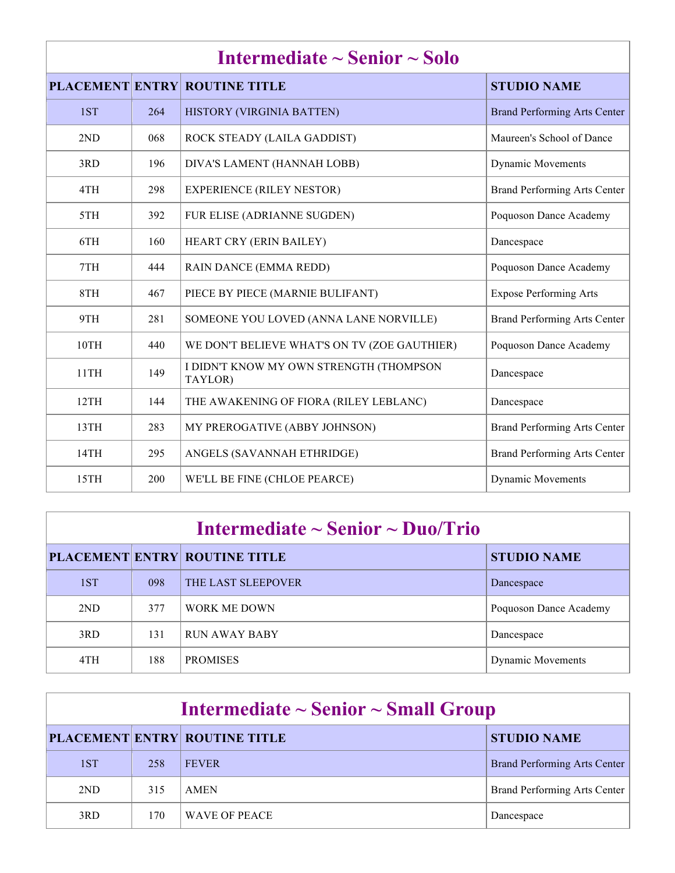| Intermediate $\sim$ Senior $\sim$ Solo |     |                                                    |                                     |
|----------------------------------------|-----|----------------------------------------------------|-------------------------------------|
|                                        |     | <b>PLACEMENT ENTRY ROUTINE TITLE</b>               | <b>STUDIO NAME</b>                  |
| 1ST                                    | 264 | HISTORY (VIRGINIA BATTEN)                          | <b>Brand Performing Arts Center</b> |
| 2ND                                    | 068 | ROCK STEADY (LAILA GADDIST)                        | Maureen's School of Dance           |
| 3RD                                    | 196 | DIVA'S LAMENT (HANNAH LOBB)                        | <b>Dynamic Movements</b>            |
| 4TH                                    | 298 | <b>EXPERIENCE (RILEY NESTOR)</b>                   | Brand Performing Arts Center        |
| 5TH                                    | 392 | FUR ELISE (ADRIANNE SUGDEN)                        | Poquoson Dance Academy              |
| 6TH                                    | 160 | HEART CRY (ERIN BAILEY)                            | Dancespace                          |
| 7TH                                    | 444 | RAIN DANCE (EMMA REDD)                             | Poquoson Dance Academy              |
| 8TH                                    | 467 | PIECE BY PIECE (MARNIE BULIFANT)                   | <b>Expose Performing Arts</b>       |
| 9TH                                    | 281 | SOMEONE YOU LOVED (ANNA LANE NORVILLE)             | <b>Brand Performing Arts Center</b> |
| 10TH                                   | 440 | WE DON'T BELIEVE WHAT'S ON TV (ZOE GAUTHIER)       | Poquoson Dance Academy              |
| 11TH                                   | 149 | I DIDN'T KNOW MY OWN STRENGTH (THOMPSON<br>TAYLOR) | Dancespace                          |
| 12TH                                   | 144 | THE AWAKENING OF FIORA (RILEY LEBLANC)             | Dancespace                          |
| 13TH                                   | 283 | MY PREROGATIVE (ABBY JOHNSON)                      | Brand Performing Arts Center        |
| 14TH                                   | 295 | ANGELS (SAVANNAH ETHRIDGE)                         | Brand Performing Arts Center        |
| 15TH                                   | 200 | WE'LL BE FINE (CHLOE PEARCE)                       | <b>Dynamic Movements</b>            |

## **Intermediate ~ Senior ~ Duo/Trio**

|     |     | <b>PLACEMENT ENTRY ROUTINE TITLE</b> | <b>STUDIO NAME</b>       |
|-----|-----|--------------------------------------|--------------------------|
| 1ST | 098 | THE LAST SLEEPOVER                   | <b>Dancespace</b>        |
| 2ND | 377 | <b>WORK ME DOWN</b>                  | Poquoson Dance Academy   |
| 3RD | 131 | <b>RUN AWAY BABY</b>                 | Dancespace               |
| 4TH | 188 | <b>PROMISES</b>                      | <b>Dynamic Movements</b> |

| Intermediate $\sim$ Senior $\sim$ Small Group |     |                                      |                              |
|-----------------------------------------------|-----|--------------------------------------|------------------------------|
|                                               |     | <b>PLACEMENT ENTRY ROUTINE TITLE</b> | <b>STUDIO NAME</b>           |
| 1ST                                           | 258 | <b>FEVER</b>                         | Brand Performing Arts Center |
| 2ND                                           | 315 | <b>AMEN</b>                          | Brand Performing Arts Center |
| 3RD                                           | 170 | WAVE OF PEACE                        | Dancespace                   |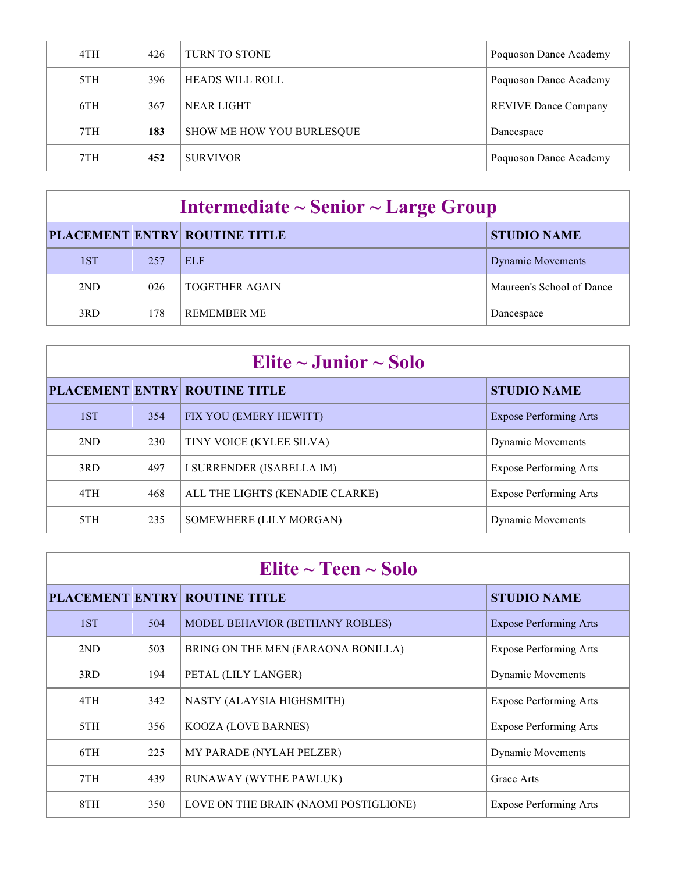| 4TH | 426 | <b>TURN TO STONE</b>      | Poquoson Dance Academy      |
|-----|-----|---------------------------|-----------------------------|
| 5TH | 396 | <b>HEADS WILL ROLL</b>    | Poquoson Dance Academy      |
| 6TH | 367 | <b>NEAR LIGHT</b>         | <b>REVIVE Dance Company</b> |
| 7TH | 183 | SHOW ME HOW YOU BURLESQUE | Dancespace                  |
| 7TH | 452 | <b>SURVIVOR</b>           | Poquoson Dance Academy      |

## **Intermediate ~ Senior ~ Large Group**

|     |     | <b>PLACEMENT ENTRY ROUTINE TITLE</b> | <b>STUDIO NAME</b>        |
|-----|-----|--------------------------------------|---------------------------|
| 1ST | 257 | <b>ELF</b>                           | <b>Dynamic Movements</b>  |
| 2ND | 026 | <b>TOGETHER AGAIN</b>                | Maureen's School of Dance |
| 3RD | 178 | <b>REMEMBER ME</b>                   | Dancespace                |

| Elite $\sim$ Junior $\sim$ Solo |     |                                      |                               |  |
|---------------------------------|-----|--------------------------------------|-------------------------------|--|
|                                 |     | <b>PLACEMENT ENTRY ROUTINE TITLE</b> | <b>STUDIO NAME</b>            |  |
| 1ST                             | 354 | FIX YOU (EMERY HEWITT)               | <b>Expose Performing Arts</b> |  |
| 2ND                             | 230 | TINY VOICE (KYLEE SILVA)             | <b>Dynamic Movements</b>      |  |
| 3RD                             | 497 | I SURRENDER (ISABELLA IM)            | <b>Expose Performing Arts</b> |  |
| 4TH                             | 468 | ALL THE LIGHTS (KENADIE CLARKE)      | <b>Expose Performing Arts</b> |  |
| 5TH                             | 235 | SOMEWHERE (LILY MORGAN)              | <b>Dynamic Movements</b>      |  |

| Elite $\sim$ Teen $\sim$ Solo |     |                                       |                               |  |
|-------------------------------|-----|---------------------------------------|-------------------------------|--|
|                               |     | <b>PLACEMENT ENTRY ROUTINE TITLE</b>  | <b>STUDIO NAME</b>            |  |
| 1ST                           | 504 | MODEL BEHAVIOR (BETHANY ROBLES)       | <b>Expose Performing Arts</b> |  |
| 2ND                           | 503 | BRING ON THE MEN (FARAONA BONILLA)    | <b>Expose Performing Arts</b> |  |
| 3RD                           | 194 | PETAL (LILY LANGER)                   | <b>Dynamic Movements</b>      |  |
| 4TH                           | 342 | NASTY (ALAYSIA HIGHSMITH)             | <b>Expose Performing Arts</b> |  |
| 5TH                           | 356 | <b>KOOZA (LOVE BARNES)</b>            | <b>Expose Performing Arts</b> |  |
| 6TH                           | 225 | MY PARADE (NYLAH PELZER)              | <b>Dynamic Movements</b>      |  |
| 7TH                           | 439 | RUNAWAY (WYTHE PAWLUK)                | Grace Arts                    |  |
| 8TH                           | 350 | LOVE ON THE BRAIN (NAOMI POSTIGLIONE) | <b>Expose Performing Arts</b> |  |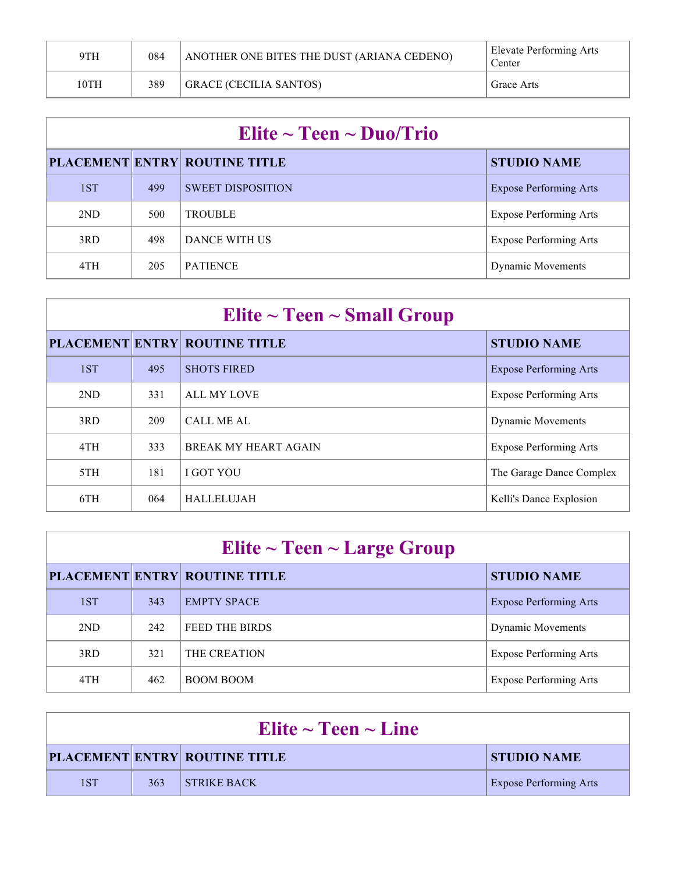| 9TH  | 084 | ANOTHER ONE BITES THE DUST (ARIANA CEDENO) | Elevate Performing Arts<br>Center |
|------|-----|--------------------------------------------|-----------------------------------|
| 10TH | 389 | <b>GRACE (CECILIA SANTOS)</b>              | Grace Arts                        |

| Elite $\sim$ Teen $\sim$ Duo/Trio |     |                                      |                               |  |
|-----------------------------------|-----|--------------------------------------|-------------------------------|--|
|                                   |     | <b>PLACEMENT ENTRY ROUTINE TITLE</b> | <b>STUDIO NAME</b>            |  |
| 1ST                               | 499 | <b>SWEET DISPOSITION</b>             | <b>Expose Performing Arts</b> |  |
| 2ND                               | 500 | <b>TROUBLE</b>                       | <b>Expose Performing Arts</b> |  |
| 3RD                               | 498 | DANCE WITH US                        | <b>Expose Performing Arts</b> |  |
| 4TH                               | 205 | <b>PATIENCE</b>                      | <b>Dynamic Movements</b>      |  |

| Elite $\sim$ Teen $\sim$ Small Group |     |                                      |                               |  |
|--------------------------------------|-----|--------------------------------------|-------------------------------|--|
|                                      |     | <b>PLACEMENT ENTRY ROUTINE TITLE</b> | <b>STUDIO NAME</b>            |  |
| 1ST                                  | 495 | <b>SHOTS FIRED</b>                   | <b>Expose Performing Arts</b> |  |
| 2ND                                  | 331 | <b>ALL MY LOVE</b>                   | <b>Expose Performing Arts</b> |  |
| 3RD                                  | 209 | <b>CALL ME AL</b>                    | <b>Dynamic Movements</b>      |  |
| 4TH                                  | 333 | <b>BREAK MY HEART AGAIN</b>          | <b>Expose Performing Arts</b> |  |
| 5TH                                  | 181 | <b>I GOT YOU</b>                     | The Garage Dance Complex      |  |
| 6TH                                  | 064 | <b>HALLELUJAH</b>                    | Kelli's Dance Explosion       |  |

| Elite $\sim$ Teen $\sim$ Large Group |     |                                      |                               |  |
|--------------------------------------|-----|--------------------------------------|-------------------------------|--|
|                                      |     | <b>PLACEMENT ENTRY ROUTINE TITLE</b> | <b>STUDIO NAME</b>            |  |
| 1ST                                  | 343 | <b>EMPTY SPACE</b>                   | <b>Expose Performing Arts</b> |  |
| 2ND                                  | 242 | FEED THE BIRDS                       | <b>Dynamic Movements</b>      |  |
| 3RD                                  | 321 | THE CREATION                         | <b>Expose Performing Arts</b> |  |
| 4TH                                  | 462 | <b>BOOM BOOM</b>                     | <b>Expose Performing Arts</b> |  |

| Elite $\sim$ Teen $\sim$ Line |     |                                      |                               |  |
|-------------------------------|-----|--------------------------------------|-------------------------------|--|
|                               |     | <b>PLACEMENT ENTRY ROUTINE TITLE</b> | <b>STUDIO NAME</b>            |  |
| 1ST                           | 363 | $\blacksquare$ STRIKE BACK           | <b>Expose Performing Arts</b> |  |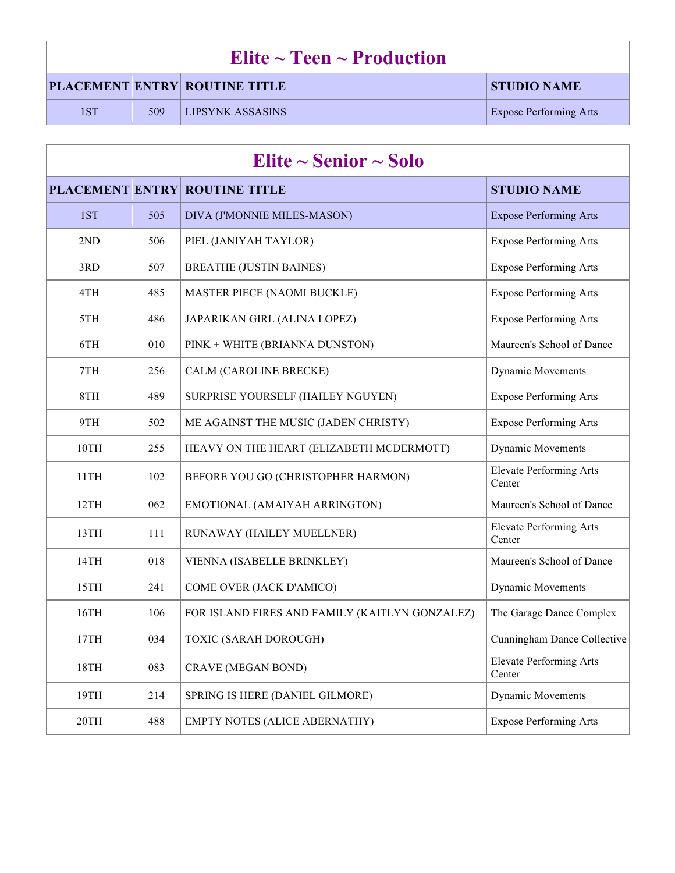|                                                            | Elite $\sim$ Teen $\sim$ Production |                         |                               |  |  |
|------------------------------------------------------------|-------------------------------------|-------------------------|-------------------------------|--|--|
| <b>PLACEMENT ENTRY ROUTINE TITLE</b><br><b>STUDIO NAME</b> |                                     |                         |                               |  |  |
| 1ST                                                        | 509                                 | <b>LIPSYNK ASSASINS</b> | <b>Expose Performing Arts</b> |  |  |

| Elite $\sim$ Senior $\sim$ Solo |     |                                                |                                          |  |
|---------------------------------|-----|------------------------------------------------|------------------------------------------|--|
|                                 |     | <b>PLACEMENT ENTRY ROUTINE TITLE</b>           | <b>STUDIO NAME</b>                       |  |
| 1ST                             | 505 | DIVA (J'MONNIE MILES-MASON)                    | <b>Expose Performing Arts</b>            |  |
| 2ND                             | 506 | PIEL (JANIYAH TAYLOR)                          | <b>Expose Performing Arts</b>            |  |
| 3RD                             | 507 | <b>BREATHE (JUSTIN BAINES)</b>                 | <b>Expose Performing Arts</b>            |  |
| 4TH                             | 485 | <b>MASTER PIECE (NAOMI BUCKLE)</b>             | <b>Expose Performing Arts</b>            |  |
| 5TH                             | 486 | JAPARIKAN GIRL (ALINA LOPEZ)                   | <b>Expose Performing Arts</b>            |  |
| 6TH                             | 010 | PINK + WHITE (BRIANNA DUNSTON)                 | Maureen's School of Dance                |  |
| 7TH                             | 256 | CALM (CAROLINE BRECKE)                         | <b>Dynamic Movements</b>                 |  |
| 8TH                             | 489 | SURPRISE YOURSELF (HAILEY NGUYEN)              | <b>Expose Performing Arts</b>            |  |
| 9TH                             | 502 | ME AGAINST THE MUSIC (JADEN CHRISTY)           | <b>Expose Performing Arts</b>            |  |
| 10TH                            | 255 | HEAVY ON THE HEART (ELIZABETH MCDERMOTT)       | <b>Dynamic Movements</b>                 |  |
| 11TH                            | 102 | BEFORE YOU GO (CHRISTOPHER HARMON)             | <b>Elevate Performing Arts</b><br>Center |  |
| 12TH                            | 062 | EMOTIONAL (AMAIYAH ARRINGTON)                  | Maureen's School of Dance                |  |
| 13TH                            | 111 | RUNAWAY (HAILEY MUELLNER)                      | <b>Elevate Performing Arts</b><br>Center |  |
| 14TH                            | 018 | VIENNA (ISABELLE BRINKLEY)                     | Maureen's School of Dance                |  |
| 15TH                            | 241 | COME OVER (JACK D'AMICO)                       | <b>Dynamic Movements</b>                 |  |
| 16TH                            | 106 | FOR ISLAND FIRES AND FAMILY (KAITLYN GONZALEZ) | The Garage Dance Complex                 |  |
| 17TH                            | 034 | TOXIC (SARAH DOROUGH)                          | Cunningham Dance Collective              |  |
| 18TH                            | 083 | <b>CRAVE (MEGAN BOND)</b>                      | <b>Elevate Performing Arts</b><br>Center |  |
| 19TH                            | 214 | SPRING IS HERE (DANIEL GILMORE)                | <b>Dynamic Movements</b>                 |  |
| 20TH                            | 488 | EMPTY NOTES (ALICE ABERNATHY)                  | <b>Expose Performing Arts</b>            |  |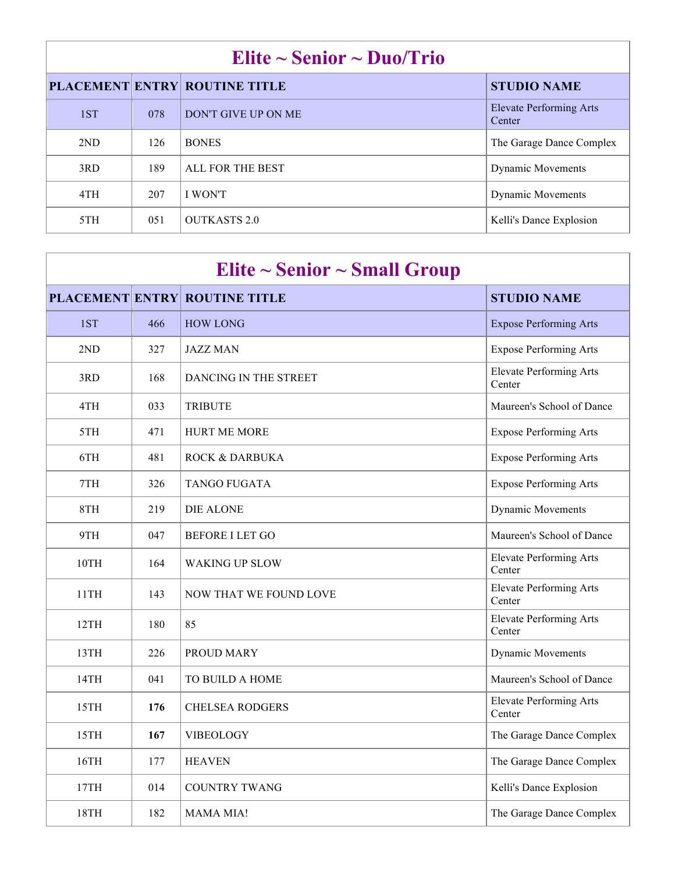| Elite $\sim$ Senior $\sim$ Duo/Trio |     |                                      |                                          |  |
|-------------------------------------|-----|--------------------------------------|------------------------------------------|--|
|                                     |     | <b>PLACEMENT ENTRY ROUTINE TITLE</b> | <b>STUDIO NAME</b>                       |  |
| 1ST                                 | 078 | DON'T GIVE UP ON ME                  | <b>Elevate Performing Arts</b><br>Center |  |
| 2ND                                 | 126 | <b>BONES</b>                         | The Garage Dance Complex                 |  |
| 3RD                                 | 189 | ALL FOR THE BEST                     | <b>Dynamic Movements</b>                 |  |
| 4TH                                 | 207 | <b>I WON'T</b>                       | <b>Dynamic Movements</b>                 |  |
| 5TH                                 | 051 | <b>OUTKASTS 2.0</b>                  | Kelli's Dance Explosion                  |  |

| Elite $\sim$ Senior $\sim$ Small Group |     |                                      |                                          |  |  |  |
|----------------------------------------|-----|--------------------------------------|------------------------------------------|--|--|--|
|                                        |     | <b>PLACEMENT ENTRY ROUTINE TITLE</b> | <b>STUDIO NAME</b>                       |  |  |  |
| 1ST                                    | 466 | <b>HOW LONG</b>                      | <b>Expose Performing Arts</b>            |  |  |  |
| 2ND                                    | 327 | <b>JAZZ MAN</b>                      | <b>Expose Performing Arts</b>            |  |  |  |
| 3RD                                    | 168 | DANCING IN THE STREET                | <b>Elevate Performing Arts</b><br>Center |  |  |  |
| 4TH                                    | 033 | <b>TRIBUTE</b>                       | Maureen's School of Dance                |  |  |  |
| 5TH                                    | 471 | <b>HURT ME MORE</b>                  | <b>Expose Performing Arts</b>            |  |  |  |
| 6TH                                    | 481 | <b>ROCK &amp; DARBUKA</b>            | <b>Expose Performing Arts</b>            |  |  |  |
| 7TH                                    | 326 | <b>TANGO FUGATA</b>                  | <b>Expose Performing Arts</b>            |  |  |  |
| 8TH                                    | 219 | <b>DIE ALONE</b>                     | Dynamic Movements                        |  |  |  |
| 9TH                                    | 047 | <b>BEFORE I LET GO</b>               | Maureen's School of Dance                |  |  |  |
| 10TH                                   | 164 | <b>WAKING UP SLOW</b>                | <b>Elevate Performing Arts</b><br>Center |  |  |  |
| 11TH                                   | 143 | <b>NOW THAT WE FOUND LOVE</b>        | <b>Elevate Performing Arts</b><br>Center |  |  |  |
| 12TH                                   | 180 | 85                                   | <b>Elevate Performing Arts</b><br>Center |  |  |  |
| 13TH                                   | 226 | PROUD MARY                           | Dynamic Movements                        |  |  |  |
| 14TH                                   | 041 | TO BUILD A HOME                      | Maureen's School of Dance                |  |  |  |
| 15TH                                   | 176 | <b>CHELSEA RODGERS</b>               | <b>Elevate Performing Arts</b><br>Center |  |  |  |
| 15TH                                   | 167 | <b>VIBEOLOGY</b>                     | The Garage Dance Complex                 |  |  |  |
| 16TH                                   | 177 | <b>HEAVEN</b>                        | The Garage Dance Complex                 |  |  |  |
| 17TH                                   | 014 | <b>COUNTRY TWANG</b>                 | Kelli's Dance Explosion                  |  |  |  |
| 18TH                                   | 182 | <b>MAMA MIA!</b>                     | The Garage Dance Complex                 |  |  |  |